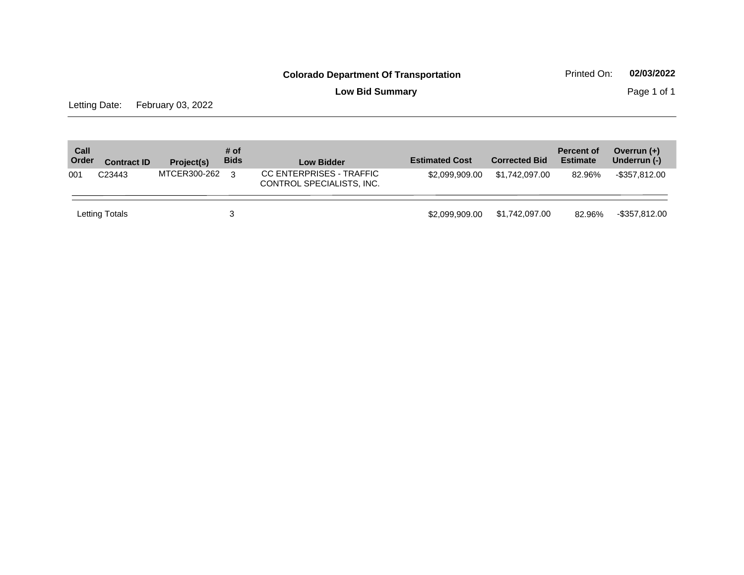**Low Bid Summary Page 1 of 1** 

Letting Date: February 03, 2022

| Call<br>Order | <b>Contract ID</b> | Project(s)   | # of<br><b>Bids</b> | <b>Low Bidder</b>                                     | <b>Estimated Cost</b> | <b>Corrected Bid</b> | <b>Percent of</b><br><b>Estimate</b> | Overrun $(+)$<br>Underrun (-) |
|---------------|--------------------|--------------|---------------------|-------------------------------------------------------|-----------------------|----------------------|--------------------------------------|-------------------------------|
| 001           | C <sub>23443</sub> | MTCER300-262 | $\mathcal{R}$       | CC ENTERPRISES - TRAFFIC<br>CONTROL SPECIALISTS, INC. | \$2.099.909.00        | \$1.742.097.00       | 82.96%                               | -\$357,812.00                 |
|               | Letting Totals     |              |                     |                                                       | \$2.099.909.00        | \$1,742,097.00       | 82.96%                               | $-$ \$357,812.00              |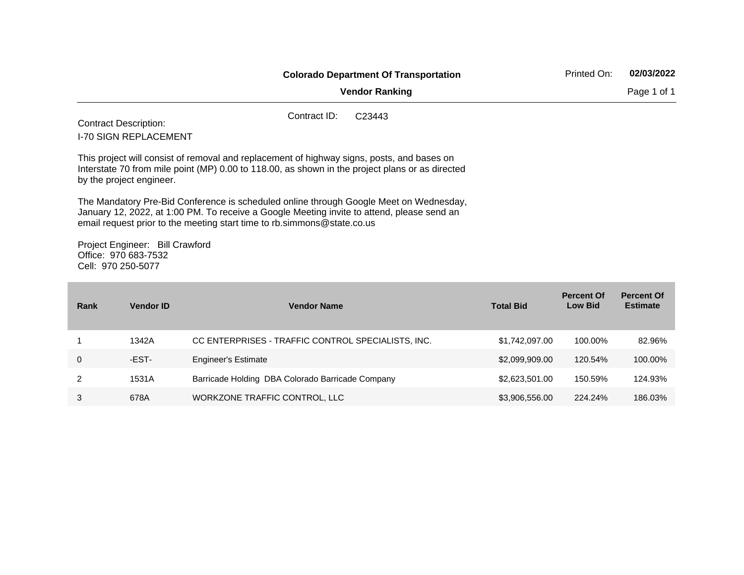|             |                                                                               | <b>Colorado Department Of Transportation</b>                                                                                                                                                                                                                    | Printed On:                         | 02/03/2022                           |
|-------------|-------------------------------------------------------------------------------|-----------------------------------------------------------------------------------------------------------------------------------------------------------------------------------------------------------------------------------------------------------------|-------------------------------------|--------------------------------------|
|             |                                                                               | <b>Vendor Ranking</b>                                                                                                                                                                                                                                           |                                     | Page 1 of 1                          |
|             | <b>Contract Description:</b><br><b>I-70 SIGN REPLACEMENT</b>                  | Contract ID:<br>C <sub>23443</sub>                                                                                                                                                                                                                              |                                     |                                      |
|             | by the project engineer.                                                      | This project will consist of removal and replacement of highway signs, posts, and bases on<br>Interstate 70 from mile point (MP) 0.00 to 118.00, as shown in the project plans or as directed                                                                   |                                     |                                      |
|             |                                                                               | The Mandatory Pre-Bid Conference is scheduled online through Google Meet on Wednesday,<br>January 12, 2022, at 1:00 PM. To receive a Google Meeting invite to attend, please send an<br>email request prior to the meeting start time to rb.simmons@state.co.us |                                     |                                      |
|             | Project Engineer: Bill Crawford<br>Office: 970 683-7532<br>Cell: 970 250-5077 |                                                                                                                                                                                                                                                                 |                                     |                                      |
| <b>Rank</b> | <b>Vendor ID</b>                                                              | <b>Vendor Name</b><br><b>Total Bid</b>                                                                                                                                                                                                                          | <b>Percent Of</b><br><b>Low Bid</b> | <b>Percent Of</b><br><b>Estimate</b> |

| Ralik | vengor id | <b>VEHUOL NATHE</b>                                | TULAI DIU      | LUW DIU | рэшнак  |
|-------|-----------|----------------------------------------------------|----------------|---------|---------|
|       |           |                                                    |                |         |         |
|       | 1342A     | CC ENTERPRISES - TRAFFIC CONTROL SPECIALISTS, INC. | \$1,742,097.00 | 100.00% | 82.96%  |
|       | -EST-     | <b>Engineer's Estimate</b>                         | \$2,099,909.00 | 120.54% | 100.00% |
|       | 1531A     | Barricade Holding DBA Colorado Barricade Company   | \$2,623,501.00 | 150.59% | 124.93% |
|       | 678A      | WORKZONE TRAFFIC CONTROL, LLC                      | \$3,906,556.00 | 224.24% | 186.03% |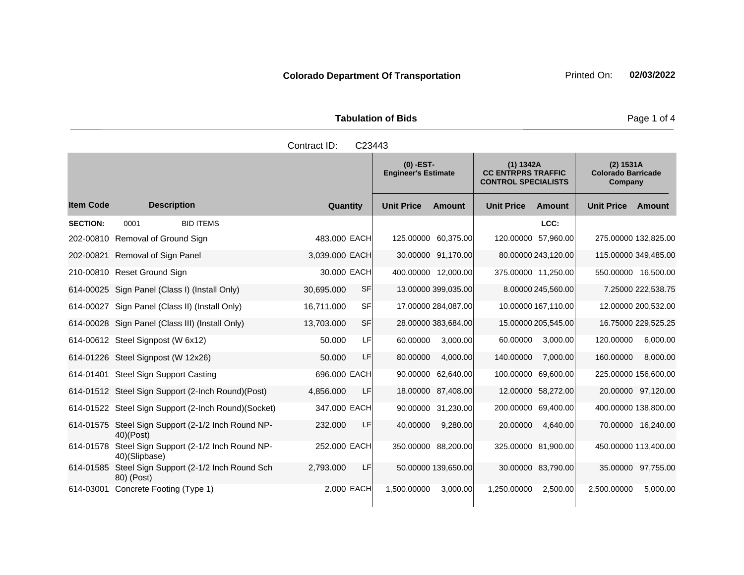|                     | <b>Tabulation of Bids</b> |  |  |
|---------------------|---------------------------|--|--|
| Contract ID: C23443 |                           |  |  |

|                  |                                                                 |                   | $(0)$ -EST-<br>(1) 1342A<br><b>Engineer's Estimate</b><br><b>CC ENTRPRS TRAFFIC</b><br><b>CONTROL SPECIALISTS</b> |                     | (2) 1531A<br><b>Colorado Barricade</b><br>Company |                     |                      |                     |
|------------------|-----------------------------------------------------------------|-------------------|-------------------------------------------------------------------------------------------------------------------|---------------------|---------------------------------------------------|---------------------|----------------------|---------------------|
| <b>Item Code</b> | <b>Description</b>                                              | Quantity          | <b>Unit Price</b>                                                                                                 | <b>Amount</b>       | <b>Unit Price</b>                                 | Amount              | <b>Unit Price</b>    | Amount              |
| <b>SECTION:</b>  | <b>BID ITEMS</b><br>0001                                        |                   |                                                                                                                   |                     |                                                   | LCC:                |                      |                     |
|                  | 202-00810 Removal of Ground Sign                                | 483,000 EACH      | 125.00000 60,375.00                                                                                               |                     | 120.00000 57,960.00                               |                     | 275.00000 132,825.00 |                     |
|                  | 202-00821 Removal of Sign Panel                                 | 3,039.000 EACH    |                                                                                                                   | 30.00000 91,170.00  |                                                   | 80.00000 243,120.00 | 115.00000 349,485.00 |                     |
|                  | 210-00810 Reset Ground Sign                                     | 30.000 EACH       | 400.00000 12,000.00                                                                                               |                     | 375.00000 11,250.00                               |                     | 550.00000 16,500.00  |                     |
|                  | 614-00025 Sign Panel (Class I) (Install Only)                   | SF<br>30,695.000  |                                                                                                                   | 13.00000 399,035.00 |                                                   | 8.00000 245,560.00  |                      | 7.25000 222,538.75  |
|                  | 614-00027 Sign Panel (Class II) (Install Only)                  | SFI<br>16,711.000 |                                                                                                                   | 17.00000 284,087.00 |                                                   | 10.00000 167,110.00 |                      | 12.00000 200,532.00 |
|                  | 614-00028 Sign Panel (Class III) (Install Only)                 | SF<br>13,703.000  |                                                                                                                   | 28.00000 383,684.00 |                                                   | 15.00000 205,545.00 |                      | 16.75000 229,525.25 |
|                  | 614-00612 Steel Signpost (W 6x12)                               | LF<br>50.000      | 60.00000                                                                                                          | 3,000.00            | 60.00000                                          | 3,000.00            | 120.00000            | 6,000.00            |
|                  | 614-01226 Steel Signpost (W 12x26)                              | LF<br>50.000      | 80.00000                                                                                                          | 4,000.00            | 140.00000                                         | 7,000.00            | 160.00000            | 8,000.00            |
|                  | 614-01401 Steel Sign Support Casting                            | 696.000 EACH      |                                                                                                                   | 90.00000 62,640.00  | 100.00000 69,600.00                               |                     | 225.00000 156,600.00 |                     |
|                  | 614-01512 Steel Sign Support (2-Inch Round)(Post)               | LF<br>4,856.000   |                                                                                                                   | 18.00000 87,408.00  |                                                   | 12.00000 58,272.00  |                      | 20.00000 97,120.00  |
|                  | 614-01522 Steel Sign Support (2-Inch Round) (Socket)            | 347.000 EACH      |                                                                                                                   | 90.00000 31,230.00  | 200.00000 69,400.00                               |                     | 400.00000 138,800.00 |                     |
|                  | 614-01575 Steel Sign Support (2-1/2 Inch Round NP-<br>40)(Post) | 232.000<br>LF     | 40.00000                                                                                                          | 9,280.00            | 20.00000                                          | 4,640.00            |                      | 70.00000 16,240.00  |
| 614-01578        | Steel Sign Support (2-1/2 Inch Round NP-<br>40)(Slipbase)       | 252.000 EACH      | 350.00000 88,200.00                                                                                               |                     | 325.00000 81,900.00                               |                     | 450.00000 113,400.00 |                     |
| 614-01585        | Steel Sign Support (2-1/2 Inch Round Sch<br>80) (Post)          | LF<br>2,793.000   |                                                                                                                   | 50.00000 139,650.00 |                                                   | 30.00000 83,790.00  |                      | 35.00000 97,755.00  |
| 614-03001        | Concrete Footing (Type 1)                                       | 2.000 EACH        | 1,500.00000                                                                                                       | 3,000.00            | 1,250.00000                                       | 2,500.00            | 2,500.00000          | 5,000.00            |

Page 1 of 4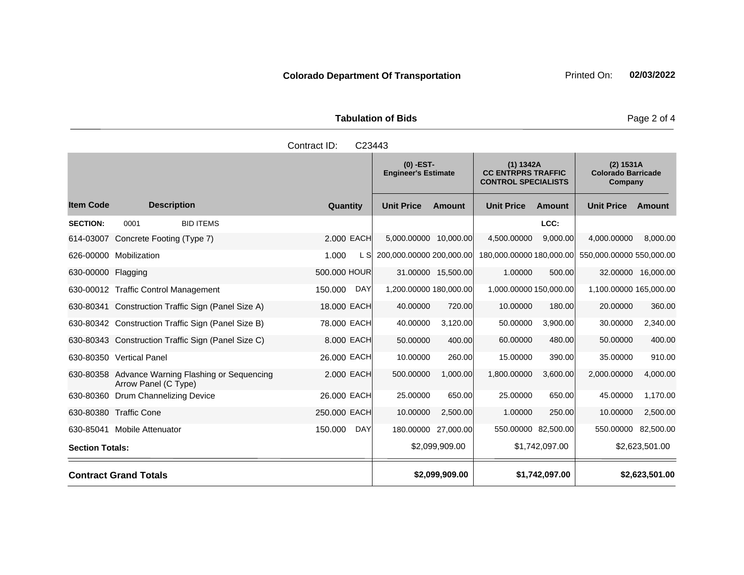| <b>Tabulation of Bids</b> |  |
|---------------------------|--|
|                           |  |

|                        |                                                                          | Contract ID:<br>C23443 |                          |                                                                                                                   |                          |                     |                                                   |                    |
|------------------------|--------------------------------------------------------------------------|------------------------|--------------------------|-------------------------------------------------------------------------------------------------------------------|--------------------------|---------------------|---------------------------------------------------|--------------------|
|                        |                                                                          |                        |                          | $(0)$ -EST-<br>(1) 1342A<br><b>Engineer's Estimate</b><br><b>CC ENTRPRS TRAFFIC</b><br><b>CONTROL SPECIALISTS</b> |                          |                     | (2) 1531A<br><b>Colorado Barricade</b><br>Company |                    |
| <b>Item Code</b>       | <b>Description</b>                                                       | Quantity               | <b>Unit Price</b>        | <b>Amount</b>                                                                                                     | <b>Unit Price</b>        | Amount              | <b>Unit Price</b>                                 | Amount             |
| <b>SECTION:</b>        | 0001<br><b>BID ITEMS</b>                                                 |                        |                          |                                                                                                                   |                          | LCC:                |                                                   |                    |
| 614-03007              | Concrete Footing (Type 7)                                                | 2.000 EACH             | 5,000.00000 10,000.00    |                                                                                                                   | 4,500.00000              | 9.000.00            | 4,000.00000                                       | 8,000.00           |
|                        | 626-00000 Mobilization                                                   | 1.000<br>L SI          | 200,000.00000 200,000.00 |                                                                                                                   | 180,000.00000 180,000.00 |                     | 550,000.00000 550,000.00                          |                    |
| 630-00000 Flagging     |                                                                          | 500.000 HOUR           |                          | 31.00000 15,500.00                                                                                                | 1.00000                  | 500.00              |                                                   | 32.00000 16,000.00 |
|                        | 630-00012 Traffic Control Management                                     | 150.000<br>DAY         | 1,200.00000 180,000.00   |                                                                                                                   | 1,000.00000 150,000.00   |                     | 1,100.00000 165,000.00                            |                    |
|                        | 630-80341 Construction Traffic Sign (Panel Size A)                       | 18.000 EACH            | 40.00000                 | 720.00                                                                                                            | 10.00000                 | 180.00              | 20.00000                                          | 360.00             |
|                        | 630-80342 Construction Traffic Sign (Panel Size B)                       | 78.000 EACH            | 40.00000                 | 3,120.00                                                                                                          | 50.00000                 | 3,900.00            | 30.00000                                          | 2,340.00           |
|                        | 630-80343 Construction Traffic Sign (Panel Size C)                       | 8.000 EACH             | 50.00000                 | 400.00                                                                                                            | 60.00000                 | 480.00              | 50.00000                                          | 400.00             |
|                        | 630-80350 Vertical Panel                                                 | 26.000 EACH            | 10.00000                 | 260.00                                                                                                            | 15.00000                 | 390.00              | 35.00000                                          | 910.00             |
|                        | 630-80358 Advance Warning Flashing or Sequencing<br>Arrow Panel (C Type) | 2.000 EACH             | 500.00000                | 1,000.00                                                                                                          | 1,800.00000              | 3,600.00            | 2,000.00000                                       | 4,000.00           |
| 630-80360              | Drum Channelizing Device                                                 | 26,000 EACH            | 25.00000                 | 650.00                                                                                                            | 25.00000                 | 650.00              | 45.00000                                          | 1,170.00           |
|                        | 630-80380 Traffic Cone                                                   | 250.000 EACH           | 10.00000                 | 2,500.00                                                                                                          | 1.00000                  | 250.00              | 10.00000                                          | 2,500.00           |
|                        | 630-85041 Mobile Attenuator                                              | 150.000<br>DAY         |                          | 180.00000 27,000.00                                                                                               |                          | 550.00000 82,500.00 | 550.00000                                         | 82,500.00          |
| <b>Section Totals:</b> |                                                                          |                        |                          | \$2,099,909.00                                                                                                    |                          | \$1,742,097.00      |                                                   | \$2,623,501.00     |
|                        | <b>Contract Grand Totals</b>                                             |                        |                          | \$2,099,909.00                                                                                                    |                          | \$1,742,097.00      |                                                   | \$2,623,501.00     |

Page 2 of 4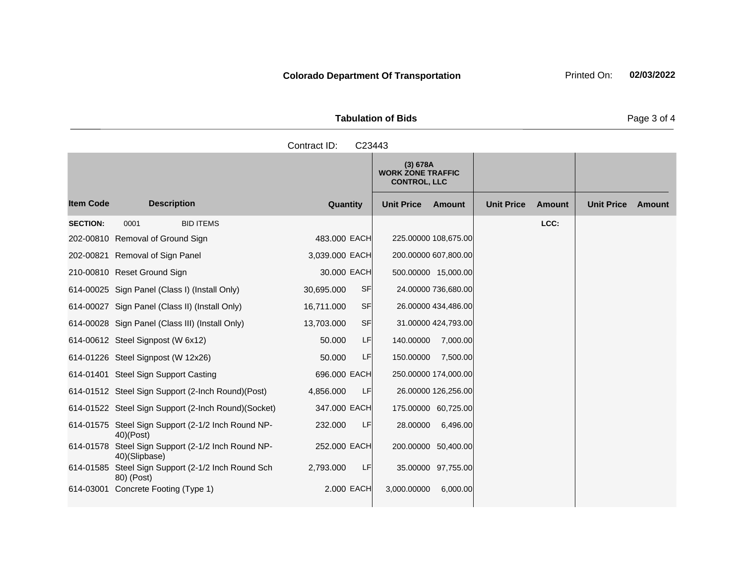| <b>Tabulation of Bids</b> |                                                     |  |  |  |  |  |  |
|---------------------------|-----------------------------------------------------|--|--|--|--|--|--|
| Contract ID: C23443       |                                                     |  |  |  |  |  |  |
|                           | (3) 678A<br><b>WORK ZONE TRAFFIC</b><br>OMITION 110 |  |  |  |  |  |  |

|                  |                                                                     |                         | (3) 678A<br><b>WORK ZONE TRAFFIC</b><br><b>CONTROL, LLC</b> |                                    |                             |
|------------------|---------------------------------------------------------------------|-------------------------|-------------------------------------------------------------|------------------------------------|-----------------------------|
| <b>Item Code</b> | <b>Description</b>                                                  | Quantity                | <b>Unit Price</b><br>Amount                                 | <b>Unit Price</b><br><b>Amount</b> | <b>Unit Price</b><br>Amount |
| <b>SECTION:</b>  | <b>BID ITEMS</b><br>0001                                            |                         |                                                             | LCC:                               |                             |
|                  | 202-00810 Removal of Ground Sign                                    | 483.000 EACH            | 225.00000 108,675.00                                        |                                    |                             |
| 202-00821        | Removal of Sign Panel                                               | 3,039.000 EACH          | 200.00000 607,800.00                                        |                                    |                             |
|                  | 210-00810 Reset Ground Sign                                         | 30,000 EACH             | 500.00000 15,000.00                                         |                                    |                             |
|                  | 614-00025 Sign Panel (Class I) (Install Only)                       | <b>SF</b><br>30,695.000 | 24.00000 736,680.00                                         |                                    |                             |
|                  | 614-00027 Sign Panel (Class II) (Install Only)                      | <b>SF</b><br>16,711.000 | 26.00000 434,486.00                                         |                                    |                             |
|                  | 614-00028 Sign Panel (Class III) (Install Only)                     | SF<br>13,703.000        | 31.00000 424,793.00                                         |                                    |                             |
|                  | 614-00612 Steel Signpost (W 6x12)                                   | LF<br>50.000            | 140.00000<br>7,000.00                                       |                                    |                             |
|                  | 614-01226 Steel Signpost (W 12x26)                                  | LF<br>50.000            | 150.00000<br>7,500.00                                       |                                    |                             |
|                  | 614-01401 Steel Sign Support Casting                                | 696.000 EACH            | 250.00000 174,000.00                                        |                                    |                             |
|                  | 614-01512 Steel Sign Support (2-Inch Round) (Post)                  | LF<br>4,856.000         | 26.00000 126,256.00                                         |                                    |                             |
|                  | 614-01522 Steel Sign Support (2-Inch Round) (Socket)                | 347.000 EACH            | 175.00000 60,725.00                                         |                                    |                             |
|                  | 614-01575 Steel Sign Support (2-1/2 Inch Round NP-<br>$40$ $(Post)$ | 232.000<br>LF           | 28.00000<br>6,496.00                                        |                                    |                             |
| 614-01578        | Steel Sign Support (2-1/2 Inch Round NP-<br>40)(Slipbase)           | 252,000 EACH            | 200.00000 50,400.00                                         |                                    |                             |
| 614-01585        | Steel Sign Support (2-1/2 Inch Round Sch<br>80) (Post)              | LF<br>2,793.000         | 35.00000 97,755.00                                          |                                    |                             |
|                  | 614-03001 Concrete Footing (Type 1)                                 | 2.000 EACH              | 3,000.00000<br>6,000.00                                     |                                    |                             |

Page 3 of 4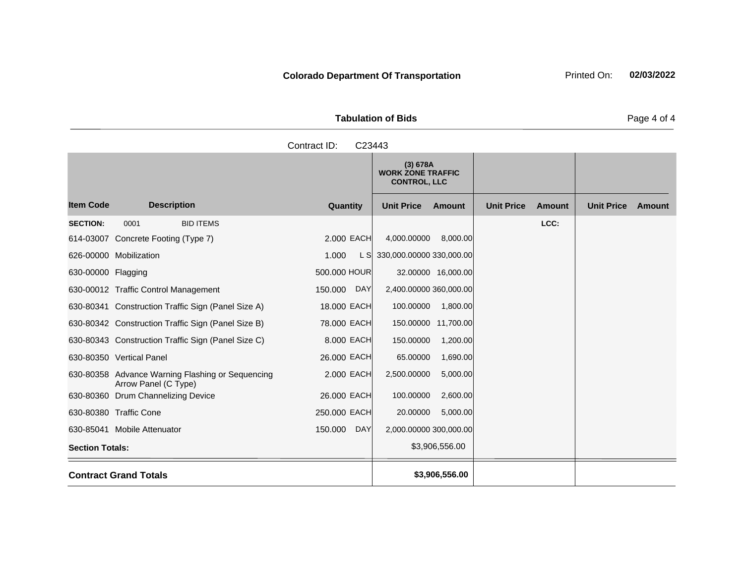**Tabulation of Bids** Page 4 of 4

|                    | Contract ID:<br>C23443 |                                                             |                   |        |                   |
|--------------------|------------------------|-------------------------------------------------------------|-------------------|--------|-------------------|
|                    |                        | (3) 678A<br><b>WORK ZONE TRAFFIC</b><br><b>CONTROL, LLC</b> |                   |        |                   |
| <b>Description</b> | Quantity               | <b>Unit Price</b><br>Amount                                 | <b>Unit Price</b> | Amount | <b>Unit Price</b> |
| <b>BID ITEMS</b>   |                        |                                                             |                   | LCC:   |                   |
| Footing (Type 7)   | 2,000 EACH             | 4,000.00000<br>8,000.00                                     |                   |        |                   |
| $\mathbf{1}$       | $\lambda$ 000          | $\overline{1}$ C 220,000,000,000,220,000,00                 |                   |        |                   |

Item Code Description Quantity Unit Price Amount Unit Price Amount Unit Price **Ext Amount SECTION:** 0001 BID ITEMS **LCC:** 614-03007 Concrete 626-00000 Mobilization 1.000 L S 330,000.00000 330,000.00 630-00000 Flagging 600.000 HOUR 32.00000 16,000.00 630-00012 Traffic Control Management 150.000 DAY 2,400.00000 360,000.00 630-80341 Construction Traffic Sign (Panel Size A) 18.000 EACH 100.00000 1,800.00 630-80342 Construction Traffic Sign (Panel Size B) 78.000 EACH 150.00000 11,700.00 630-80343 Construction Traffic Sign (Panel Size C) 8.000 EACH 150.00000 1,200.00 630-80350 Vertical Panel 26.000 EACH 65.00000 1,690.00 630-80358 Advance Warning Flashing or Sequencing Arrow Panel (C Type) 2.000 EACH 2,500.00000 5,000.00 630-80360 Drum Channelizing Device 26.000 EACH 100.00000 2,600.00 630-80380 Traffic Cone 250.000 EACH 20.00000 5,000.00 630-85041 Mobile Attenuator 150.000 DAY 2,000.00000 300,000.00 **Section Totals:**  $\begin{array}{ccc} 3,906,556.00 \\ \end{array}$ **Contract Grand Totals \$3,906,556.00**

**Colorado Department Of Transportation** Printed On: 02/03/2022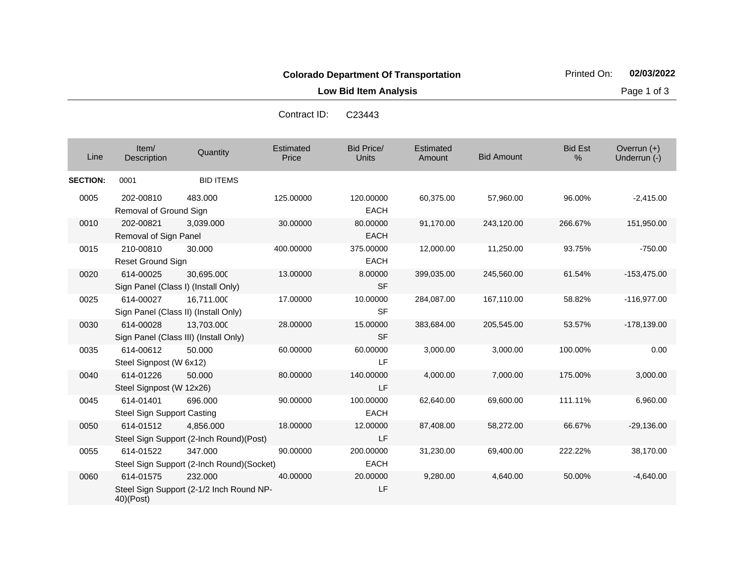**Low Bid Item Analysis Page 1 of 3** 

| Line            | Item/<br>Description                           | Quantity                                             | Estimated<br>Price | <b>Bid Price/</b><br><b>Units</b> | Estimated<br>Amount | <b>Bid Amount</b> | <b>Bid Est</b><br>$\frac{0}{0}$ | Overrun $(+)$<br>Underrun (-) |
|-----------------|------------------------------------------------|------------------------------------------------------|--------------------|-----------------------------------|---------------------|-------------------|---------------------------------|-------------------------------|
| <b>SECTION:</b> | 0001                                           | <b>BID ITEMS</b>                                     |                    |                                   |                     |                   |                                 |                               |
| 0005            | 202-00810<br>Removal of Ground Sign            | 483.000                                              | 125.00000          | 120.00000<br><b>EACH</b>          | 60,375.00           | 57,960.00         | 96.00%                          | $-2,415.00$                   |
| 0010            | 202-00821<br>Removal of Sign Panel             | 3,039.000                                            | 30.00000           | 80.00000<br><b>EACH</b>           | 91,170.00           | 243,120.00        | 266.67%                         | 151,950.00                    |
| 0015            | 210-00810<br><b>Reset Ground Sign</b>          | 30.000                                               | 400.00000          | 375.00000<br><b>EACH</b>          | 12,000.00           | 11,250.00         | 93.75%                          | $-750.00$                     |
| 0020            | 614-00025                                      | 30,695.000<br>Sign Panel (Class I) (Install Only)    | 13.00000           | 8.00000<br><b>SF</b>              | 399,035.00          | 245,560.00        | 61.54%                          | $-153,475.00$                 |
| 0025            | 614-00027                                      | 16,711.000<br>Sign Panel (Class II) (Install Only)   | 17.00000           | 10.00000<br><b>SF</b>             | 284,087.00          | 167,110.00        | 58.82%                          | $-116.977.00$                 |
| 0030            | 614-00028                                      | 13,703.000<br>Sign Panel (Class III) (Install Only)  | 28.00000           | 15.00000<br><b>SF</b>             | 383,684.00          | 205,545.00        | 53.57%                          | $-178,139.00$                 |
| 0035            | 614-00612<br>Steel Signpost (W 6x12)           | 50.000                                               | 60.00000           | 60.00000<br>LF                    | 3,000.00            | 3,000.00          | 100.00%                         | 0.00                          |
| 0040            | 614-01226<br>Steel Signpost (W 12x26)          | 50.000                                               | 80.00000           | 140.00000<br>LF                   | 4,000.00            | 7,000.00          | 175.00%                         | 3,000.00                      |
| 0045            | 614-01401<br><b>Steel Sign Support Casting</b> | 696.000                                              | 90.00000           | 100.00000<br><b>EACH</b>          | 62,640.00           | 69,600.00         | 111.11%                         | 6,960.00                      |
| 0050            | 614-01512                                      | 4,856.000<br>Steel Sign Support (2-Inch Round)(Post) | 18.00000           | 12.00000<br>LF                    | 87,408.00           | 58,272.00         | 66.67%                          | $-29,136.00$                  |
| 0055            | 614-01522                                      | 347.000<br>Steel Sign Support (2-Inch Round)(Socket) | 90.00000           | 200.00000<br><b>EACH</b>          | 31,230.00           | 69,400.00         | 222.22%                         | 38,170.00                     |
| 0060            | 614-01575<br>40)(Post)                         | 232,000<br>Steel Sign Support (2-1/2 Inch Round NP-  | 40.00000           | 20.00000<br>LF                    | 9,280.00            | 4,640.00          | 50.00%                          | $-4,640.00$                   |

Contract ID: C23443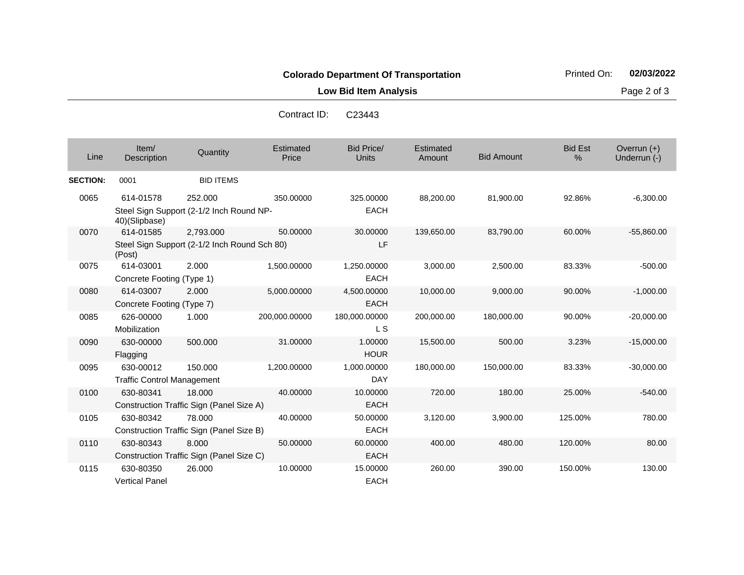**Low Bid Item Analysis Page 2 of 3** 

Contract ID: C23443

| Line            | Item/<br>Description              | Quantity                                     | Estimated<br>Price | <b>Bid Price/</b><br><b>Units</b> | Estimated<br>Amount | <b>Bid Amount</b> | <b>Bid Est</b><br>$\%$ | Overrun (+)<br>Underrun (-) |
|-----------------|-----------------------------------|----------------------------------------------|--------------------|-----------------------------------|---------------------|-------------------|------------------------|-----------------------------|
| <b>SECTION:</b> | 0001                              | <b>BID ITEMS</b>                             |                    |                                   |                     |                   |                        |                             |
| 0065            | 614-01578                         | 252.000                                      | 350,00000          | 325.00000                         | 88,200.00           | 81,900.00         | 92.86%                 | $-6,300.00$                 |
|                 | 40)(Slipbase)                     | Steel Sign Support (2-1/2 Inch Round NP-     |                    | <b>EACH</b>                       |                     |                   |                        |                             |
| 0070            | 614-01585                         | 2,793.000                                    | 50.00000           | 30.00000                          | 139,650.00          | 83,790.00         | 60.00%                 | $-55,860.00$                |
|                 | (Post)                            | Steel Sign Support (2-1/2 Inch Round Sch 80) |                    | LF                                |                     |                   |                        |                             |
| 0075            | 614-03001                         | 2.000                                        | 1,500.00000        | 1,250.00000                       | 3,000.00            | 2,500.00          | 83.33%                 | $-500.00$                   |
|                 | Concrete Footing (Type 1)         |                                              |                    | <b>EACH</b>                       |                     |                   |                        |                             |
| 0080            | 614-03007                         | 2.000                                        | 5,000.00000        | 4,500.00000                       | 10,000.00           | 9,000.00          | 90.00%                 | $-1,000.00$                 |
|                 | Concrete Footing (Type 7)         |                                              |                    | <b>EACH</b>                       |                     |                   |                        |                             |
| 0085            | 626-00000                         | 1.000                                        | 200,000.00000      | 180,000.00000                     | 200,000.00          | 180,000.00        | 90.00%                 | $-20,000.00$                |
|                 | Mobilization                      |                                              |                    | L S                               |                     |                   |                        |                             |
| 0090            | 630-00000                         | 500.000                                      | 31.00000           | 1.00000                           | 15,500.00           | 500.00            | 3.23%                  | $-15,000.00$                |
|                 | Flagging                          |                                              |                    | <b>HOUR</b>                       |                     |                   |                        |                             |
| 0095            | 630-00012                         | 150.000                                      | 1,200.00000        | 1,000.00000                       | 180,000.00          | 150,000.00        | 83.33%                 | $-30,000.00$                |
|                 | <b>Traffic Control Management</b> |                                              |                    | <b>DAY</b>                        |                     |                   |                        |                             |
| 0100            | 630-80341                         | 18,000                                       | 40.00000           | 10.00000                          | 720.00              | 180.00            | 25.00%                 | $-540.00$                   |
|                 |                                   | Construction Traffic Sign (Panel Size A)     |                    | <b>EACH</b>                       |                     |                   |                        |                             |
| 0105            | 630-80342                         | 78,000                                       | 40.00000           | 50.00000                          | 3,120.00            | 3,900.00          | 125.00%                | 780.00                      |
|                 |                                   | Construction Traffic Sign (Panel Size B)     |                    | <b>EACH</b>                       |                     |                   |                        |                             |
| 0110            | 630-80343                         | 8.000                                        | 50.00000           | 60.00000                          | 400.00              | 480.00            | 120.00%                | 80.00                       |
|                 |                                   | Construction Traffic Sign (Panel Size C)     |                    | <b>EACH</b>                       |                     |                   |                        |                             |
| 0115            | 630-80350                         | 26.000                                       | 10.00000           | 15.00000                          | 260.00              | 390.00            | 150.00%                | 130.00                      |
|                 | <b>Vertical Panel</b>             |                                              |                    | <b>EACH</b>                       |                     |                   |                        |                             |